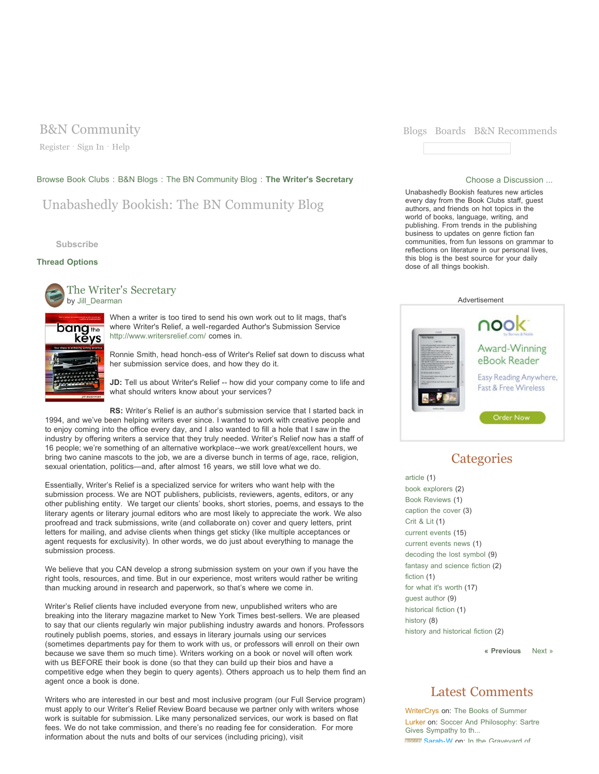Register · Sign In · Help

## Browse Book Clubs : B&N Blogs : The BN Community Blog : The Writer's Secretary **Choose a Discussion ...** Choose a Discussion ...

# Unabashedly Bookish: The BN Community Blog

**Subscribe**

kēys

## **Thread Options**



The Writer's Secretary by Jill\_Dearman

> When a writer is too tired to send his own work out to lit mags, that's where Writer's Relief, a well-regarded Author's Submission Service http://www.writersrelief.com/ comes in.

Ronnie Smith, head honch-ess of Writer's Relief sat down to discuss what her submission service does, and how they do it.

**JD:** Tell us about Writer's Relief -- how did your company come to life and what should writers know about your services?

**RS:** Writer's Relief is an author's submission service that I started back in 1994, and we've been helping writers ever since. I wanted to work with creative people and to enjoy coming into the office every day, and I also wanted to fill a hole that I saw in the industry by offering writers a service that they truly needed. Writer's Relief now has a staff of 16 people; we're something of an alternative workplace--we work great/excellent hours, we bring two canine mascots to the job, we are a diverse bunch in terms of age, race, religion, sexual orientation, politics—and, after almost 16 years, we still love what we do.

Essentially, Writer's Relief is a specialized service for writers who want help with the submission process. We are NOT publishers, publicists, reviewers, agents, editors, or any other publishing entity. We target our clients' books, short stories, poems, and essays to the literary agents or literary journal editors who are most likely to appreciate the work. We also proofread and track submissions, write (and collaborate on) cover and query letters, print letters for mailing, and advise clients when things get sticky (like multiple acceptances or agent requests for exclusivity). In other words, we do just about everything to manage the submission process.

We believe that you CAN develop a strong submission system on your own if you have the right tools, resources, and time. But in our experience, most writers would rather be writing than mucking around in research and paperwork, so that's where we come in.

Writer's Relief clients have included everyone from new, unpublished writers who are breaking into the literary magazine market to New York Times best-sellers. We are pleased to say that our clients regularly win major publishing industry awards and honors. Professors routinely publish poems, stories, and essays in literary journals using our services (sometimes departments pay for them to work with us, or professors will enroll on their own because we save them so much time). Writers working on a book or novel will often work with us BEFORE their book is done (so that they can build up their bios and have a competitive edge when they begin to query agents). Others approach us to help them find an agent once a book is done.

Writers who are interested in our best and most inclusive program (our Full Service program) must apply to our Writer's Relief Review Board because we partner only with writers whose work is suitable for submission. Like many personalized services, our work is based on flat fees. We do not take commission, and there's no reading fee for consideration. For more information about the nuts and bolts of our services (including pricing), visit



Unabashedly Bookish features new articles every day from the Book Clubs staff, guest authors, and friends on hot topics in the world of books, language, writing, and publishing. From trends in the publishing business to updates on genre fiction fan communities, from fun lessons on grammar to reflections on literature in our personal lives, this blog is the best source for your daily dose of all things bookish.



# **Categories**

article (1) book explorers (2) Book Reviews (1) caption the cover (3) Crit & Lit (1) current events (15) current events news (1) decoding the lost symbol (9) fantasy and science fiction (2) fiction (1) for what it's worth (17) guest author (9) historical fiction (1) history (8) history and historical fiction (2)

**« Previous** Next »

## Latest Comments

WriterCrys on: The Books of Summer Lurker on: Soccer And Philosophy: Sartre Gives Sympathy to th... **BROOKE Sarah-W on:** In the Graveyard of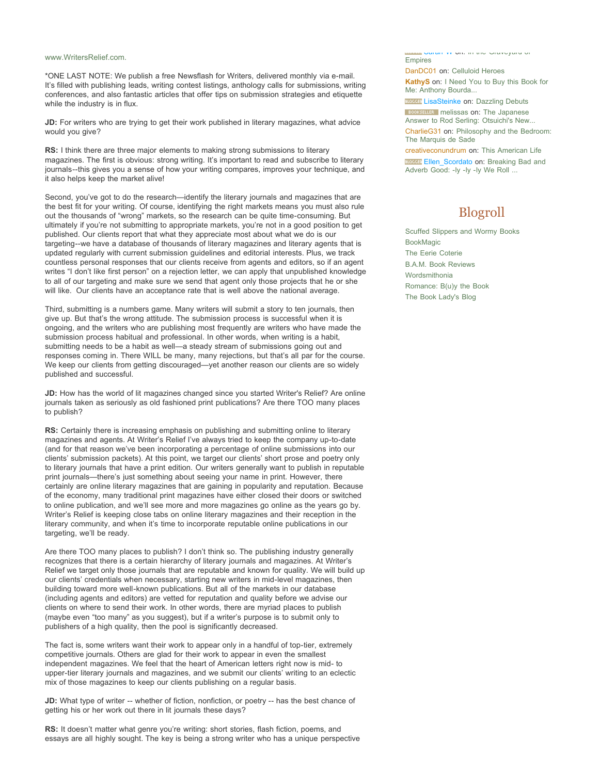### www.WritersRelief.com.

\*ONE LAST NOTE: We publish a free Newsflash for Writers, delivered monthly via e-mail. It's filled with publishing leads, writing contest listings, anthology calls for submissions, writing conferences, and also fantastic articles that offer tips on submission strategies and etiquette while the industry is in flux.

**JD:** For writers who are trying to get their work published in literary magazines, what advice would you give?

**RS:** I think there are three major elements to making strong submissions to literary magazines. The first is obvious: strong writing. It's important to read and subscribe to literary journals--this gives you a sense of how your writing compares, improves your technique, and it also helps keep the market alive!

Second, you've got to do the research—identify the literary journals and magazines that are the best fit for your writing. Of course, identifying the right markets means you must also rule out the thousands of "wrong" markets, so the research can be quite time-consuming. But ultimately if you're not submitting to appropriate markets, you're not in a good position to get published. Our clients report that what they appreciate most about what we do is our targeting--we have a database of thousands of literary magazines and literary agents that is updated regularly with current submission guidelines and editorial interests. Plus, we track countless personal responses that our clients receive from agents and editors, so if an agent writes "I don't like first person" on a rejection letter, we can apply that unpublished knowledge to all of our targeting and make sure we send that agent only those projects that he or she will like. Our clients have an acceptance rate that is well above the national average.

Third, submitting is a numbers game. Many writers will submit a story to ten journals, then give up. But that's the wrong attitude. The submission process is successful when it is ongoing, and the writers who are publishing most frequently are writers who have made the submission process habitual and professional. In other words, when writing is a habit, submitting needs to be a habit as well—a steady stream of submissions going out and responses coming in. There WILL be many, many rejections, but that's all par for the course. We keep our clients from getting discouraged—yet another reason our clients are so widely published and successful.

**JD:** How has the world of lit magazines changed since you started Writer's Relief? Are online journals taken as seriously as old fashioned print publications? Are there TOO many places to publish?

**RS:** Certainly there is increasing emphasis on publishing and submitting online to literary magazines and agents. At Writer's Relief I've always tried to keep the company up-to-date (and for that reason we've been incorporating a percentage of online submissions into our clients' submission packets). At this point, we target our clients' short prose and poetry only to literary journals that have a print edition. Our writers generally want to publish in reputable print journals—there's just something about seeing your name in print. However, there certainly are online literary magazines that are gaining in popularity and reputation. Because of the economy, many traditional print magazines have either closed their doors or switched to online publication, and we'll see more and more magazines go online as the years go by. Writer's Relief is keeping close tabs on online literary magazines and their reception in the literary community, and when it's time to incorporate reputable online publications in our targeting, we'll be ready.

Are there TOO many places to publish? I don't think so. The publishing industry generally recognizes that there is a certain hierarchy of literary journals and magazines. At Writer's Relief we target only those journals that are reputable and known for quality. We will build up our clients' credentials when necessary, starting new writers in mid-level magazines, then building toward more well-known publications. But all of the markets in our database (including agents and editors) are vetted for reputation and quality before we advise our clients on where to send their work. In other words, there are myriad places to publish (maybe even "too many" as you suggest), but if a writer's purpose is to submit only to publishers of a high quality, then the pool is significantly decreased.

The fact is, some writers want their work to appear only in a handful of top-tier, extremely competitive journals. Others are glad for their work to appear in even the smallest independent magazines. We feel that the heart of American letters right now is mid- to upper-tier literary journals and magazines, and we submit our clients' writing to an eclectic mix of those magazines to keep our clients publishing on a regular basis.

**JD:** What type of writer -- whether of fiction, nonfiction, or poetry -- has the best chance of getting his or her work out there in lit journals these days?

**RS:** It doesn't matter what genre you're writing: short stories, flash fiction, poems, and essays are all highly sought. The key is being a strong writer who has a unique perspective

Sarah-W on: In the Graveyard of Empires

DanDC01 on: Celluloid Heroes

**KathyS** on: I Need You to Buy this Book for Me: Anthony Bourda...

**BLOCCER** LisaSteinke on: Dazzling Debuts

**BOOKSELLER** melissas on: The Japanese Answer to Rod Serling: Otsuichi's New...

CharlieG31 on: Philosophy and the Bedroom: The Marquis de Sade

creativeconundrum on: This American Life

**BLOCCER** Ellen\_Scordato on: Breaking Bad and Adverb Good: -ly -ly -ly We Roll ...

# Blogroll

Scuffed Slippers and Wormy Books BookMagic The Eerie Coterie B.A.M. Book Reviews Wordsmithonia Romance: B(u)y the Book The Book Lady's Blog